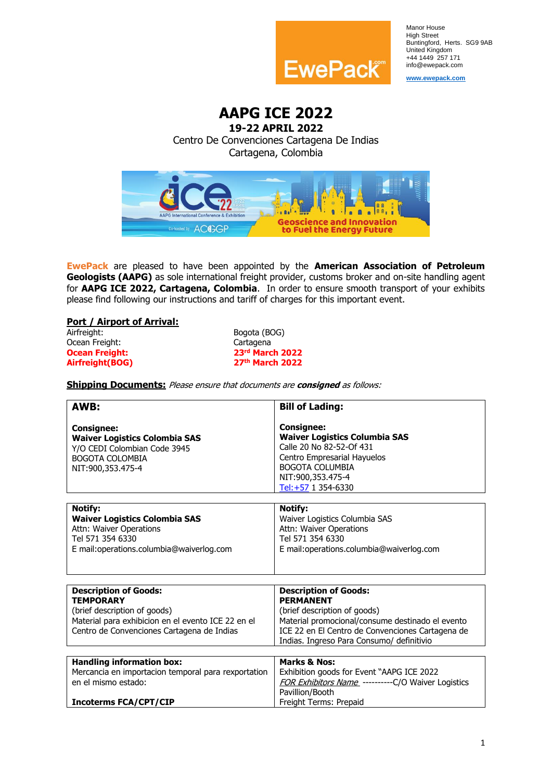

Manor House High Street Buntingford, Herts. SG9 9AB United Kingdom +44 1449 257 171 info@ewepack.com

**[www.ewepack.com](http://www.ewepack.com/)**

**AAPG ICE 2022**

# **19-22 APRIL 2022** Centro De Convenciones Cartagena De Indias Cartagena, Colombia



**EwePack** are pleased to have been appointed by the **American Association of Petroleum Geologists (AAPG)** as sole international freight provider, customs broker and on-site handling agent for **AAPG ICE 2022, Cartagena, Colombia**. In order to ensure smooth transport of your exhibits please find following our instructions and tariff of charges for this important event.

### **Port / Airport of Arrival:**

| Airfreight:           | B٥ |
|-----------------------|----|
| Ocean Freight:        | Ca |
| <b>Ocean Freight:</b> | 23 |
| Airfreight(BOG)       | 27 |

Bogota (BOG) Cartagena **rd March 2022 Airfreight(BOG) 27th March 2022**

**Shipping Documents:** Please ensure that documents are **consigned** as follows:

| AWB:                                                                                                                                                                                 | <b>Bill of Lading:</b>                                                                                                                                                                                                                |
|--------------------------------------------------------------------------------------------------------------------------------------------------------------------------------------|---------------------------------------------------------------------------------------------------------------------------------------------------------------------------------------------------------------------------------------|
| <b>Consignee:</b><br><b>Waiver Logistics Colombia SAS</b><br>Y/O CEDI Colombian Code 3945<br><b>BOGOTA COLOMBIA</b><br>NIT:900,353.475-4                                             | <b>Consignee:</b><br><b>Waiver Logistics Columbia SAS</b><br>Calle 20 No 82-52-Of 431<br>Centro Empresarial Hayuelos<br>BOGOTA COLUMBIA<br>NIT:900,353.475-4<br>Tel:+57 1 354-6330                                                    |
| <b>Notify:</b><br><b>Waiver Logistics Colombia SAS</b><br>Attn: Waiver Operations<br>Tel 571 354 6330<br>E mail:operations.columbia@waiverlog.com                                    | <b>Notify:</b><br>Waiver Logistics Columbia SAS<br>Attn: Waiver Operations<br>Tel 571 354 6330<br>E mail:operations.columbia@waiverlog.com                                                                                            |
| <b>Description of Goods:</b><br><b>TEMPORARY</b><br>(brief description of goods)<br>Material para exhibicion en el evento ICE 22 en el<br>Centro de Convenciones Cartagena de Indias | <b>Description of Goods:</b><br><b>PERMANENT</b><br>(brief description of goods)<br>Material promocional/consume destinado el evento<br>ICE 22 en El Centro de Convenciones Cartagena de<br>Indias. Ingreso Para Consumo/ definitivio |
| <b>Handling information box:</b><br>Mercancia en importacion temporal para rexportation<br>en el mismo estado:<br><b>Incoterms FCA/CPT/CIP</b>                                       | <b>Marks &amp; Nos:</b><br>Exhibition goods for Event "AAPG ICE 2022<br>FOR Exhibitors Name ----------C/O Waiver Logistics<br>Pavillion/Booth<br>Freight Terms: Prepaid                                                               |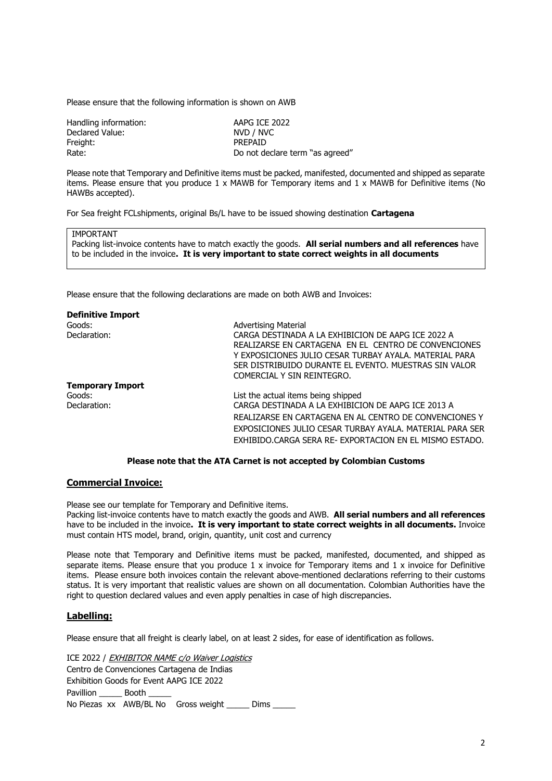Please ensure that the following information is shown on AWB

| Handling information: | AAPG ICE 2022                   |
|-----------------------|---------------------------------|
| Declared Value:       | NVD / NVC                       |
| Freight:              | <b>PREPAID</b>                  |
| Rate:                 | Do not declare term "as agreed" |

Please note that Temporary and Definitive items must be packed, manifested, documented and shipped as separate items. Please ensure that you produce 1 x MAWB for Temporary items and 1 x MAWB for Definitive items (No HAWBs accepted).

For Sea freight FCLshipments, original Bs/L have to be issued showing destination **Cartagena**

#### IMPORTANT

Packing list-invoice contents have to match exactly the goods. **All serial numbers and all references** have to be included in the invoice**. It is very important to state correct weights in all documents**

Please ensure that the following declarations are made on both AWB and Invoices:

| <b>Definitive Import</b> |                                                          |
|--------------------------|----------------------------------------------------------|
| Goods:                   | <b>Advertising Material</b>                              |
| Declaration:             | CARGA DESTINADA A LA EXHIBICION DE AAPG ICE 2022 A       |
|                          | REALIZARSE EN CARTAGENA EN EL CENTRO DE CONVENCIONES     |
|                          | Y EXPOSICIONES JULIO CESAR TURBAY AYALA. MATERIAL PARA   |
|                          | SER DISTRIBUIDO DURANTE EL EVENTO. MUESTRAS SIN VALOR    |
|                          | COMERCIAL Y SIN REINTEGRO.                               |
| <b>Temporary Import</b>  |                                                          |
| Goods:                   | List the actual items being shipped                      |
| Declaration:             | CARGA DESTINADA A LA EXHIBICION DE AAPG ICE 2013 A       |
|                          | REALIZARSE EN CARTAGENA EN AL CENTRO DE CONVENCIONES Y   |
|                          | EXPOSICIONES JULIO CESAR TURBAY AYALA, MATERIAL PARA SER |
|                          | EXHIBIDO.CARGA SERA RE- EXPORTACION EN EL MISMO ESTADO.  |

#### **Please note that the ATA Carnet is not accepted by Colombian Customs**

### **Commercial Invoice:**

Please see our template for Temporary and Definitive items. Packing list-invoice contents have to match exactly the goods and AWB. **All serial numbers and all references** have to be included in the invoice**. It is very important to state correct weights in all documents.** Invoice must contain HTS model, brand, origin, quantity, unit cost and currency

Please note that Temporary and Definitive items must be packed, manifested, documented, and shipped as separate items. Please ensure that you produce 1 x invoice for Temporary items and 1 x invoice for Definitive items. Please ensure both invoices contain the relevant above-mentioned declarations referring to their customs status. It is very important that realistic values are shown on all documentation. Colombian Authorities have the right to question declared values and even apply penalties in case of high discrepancies.

#### **Labelling:**

Please ensure that all freight is clearly label, on at least 2 sides, for ease of identification as follows.

ICE 2022 / EXHIBITOR NAME c/o Waiver Logistics Centro de Convenciones Cartagena de Indias Exhibition Goods for Event AAPG ICE 2022 Pavillion **Booth** No Piezas xx AWB/BL No Gross weight \_\_\_\_\_ Dims \_\_\_\_\_